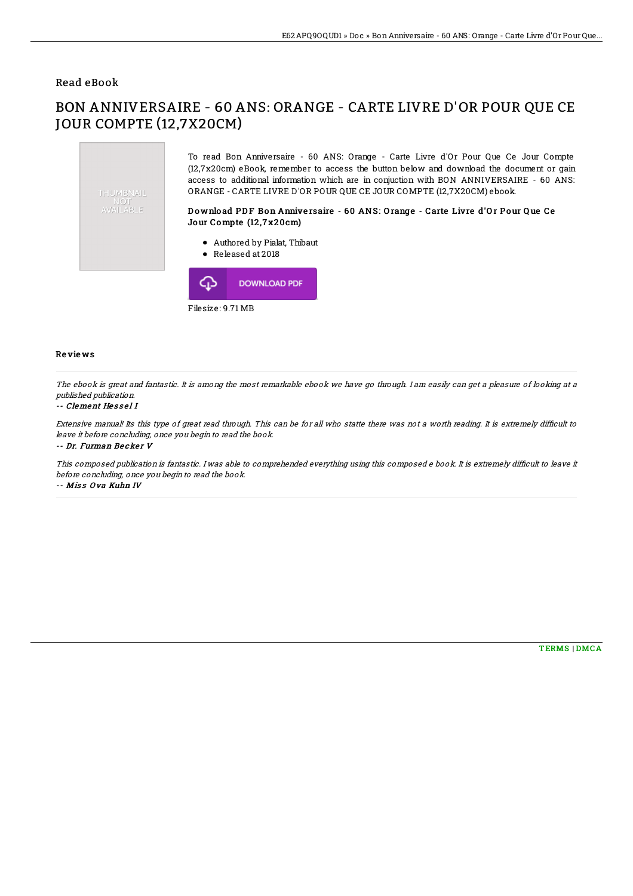### Read eBook

# BON ANNIVERSAIRE - 60 ANS: ORANGE - CARTE LIVRE D'OR POUR QUE CE JOUR COMPTE (12,7X20CM)



Filesize: 9.71 MB

#### Re vie ws

The ebook is great and fantastic. It is among the most remarkable ebook we have go through. I am easily can get <sup>a</sup> pleasure of looking at <sup>a</sup> published publication.

#### -- Clement He s s e l I

Extensive manual! Its this type of great read through. This can be for all who statte there was not a worth reading. It is extremely difficult to leave it before concluding, once you begin to read the book.

-- Dr. Furman Becker V

This composed publication is fantastic. I was able to comprehended everything using this composed e book. It is extremely difficult to leave it before concluding, once you begin to read the book.

-- Miss Ova Kuhn IV